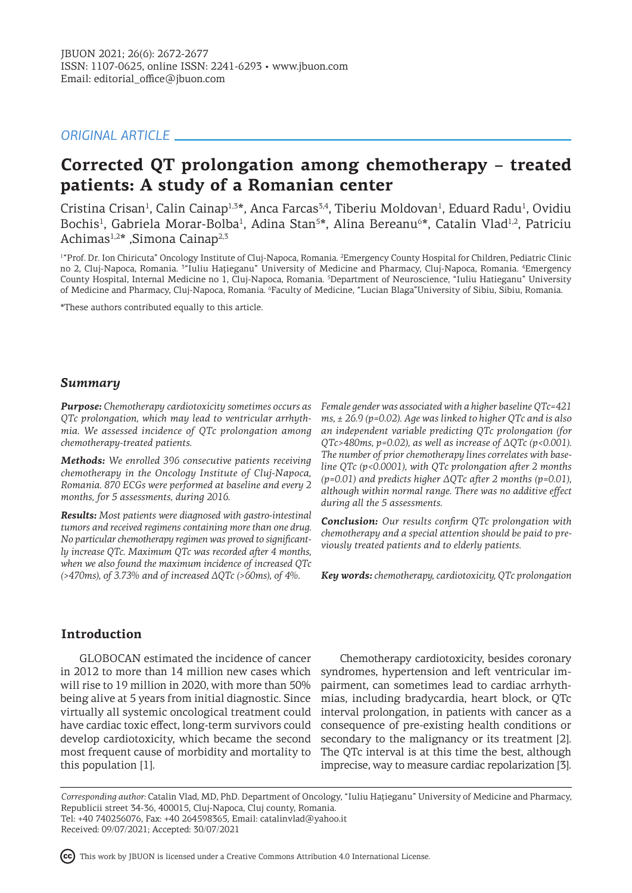# *ORIGINAL ARTICLE*

# **Corrected QT prolongation among chemotherapy – treated patients: A study of a Romanian center**

Cristina Crisan<sup>1</sup>, Calin Cainap<sup>1,3\*</sup>, Anca Farcas<sup>3,4</sup>, Tiberiu Moldovan<sup>1</sup>, Eduard Radu<sup>1</sup>, Ovidiu Bochis<sup>1</sup>, Gabriela Morar-Bolba<sup>1</sup>, Adina Stan<sup>5\*</sup>, Alina Bereanu<sup>6\*</sup>, Catalin Vlad<sup>1,2</sup>, Patriciu Achimas<sup>1,2\*</sup> ,Simona Cainap<sup>2,3</sup>

1 "Prof. Dr. Ion Chiricuta" Oncology Institute of Cluj-Napoca, Romania. <sup>2</sup> Emergency County Hospital for Children, Pediatric Clinic no 2, Cluj-Napoca, Romania. <sup>3</sup>"Iuliu Hațieganu" University of Medicine and Pharmacy, Cluj-Napoca, Romania. <sup>4</sup>Emergency County Hospital, Internal Medicine no 1, Cluj-Napoca, Romania. <sup>5</sup> Department of Neuroscience, "Iuliu Hatieganu" University of Medicine and Pharmacy, Cluj-Napoca, Romania. <sup>6</sup>Faculty of Medicine, "Lucian Blaga"University of Sibiu, Sibiu, Romania.

\*These authors contributed equally to this article.

# *Summary*

*Purpose: Chemotherapy cardiotoxicity sometimes occurs as QTc prolongation, which may lead to ventricular arrhythmia. We assessed incidence of QTc prolongation among chemotherapy-treated patients.*

*Methods: We enrolled 396 consecutive patients receiving chemotherapy in the Oncology Institute of Cluj-Napoca, Romania. 870 ECGs were performed at baseline and every 2 months, for 5 assessments, during 2016.* 

*Results: Most patients were diagnosed with gastro-intestinal tumors and received regimens containing more than one drug. No particular chemotherapy regimen was proved to significantly increase QTc. Maximum QTc was recorded after 4 months, when we also found the maximum incidence of increased QTc (>470ms), of 3.73% and of increased ΔQTc (>60ms), of 4%.* 

*Female gender was associated with a higher baseline QTc=421 ms, ± 26.9 (p=0.02). Age was linked to higher QTc and is also an independent variable predicting QTc prolongation (for QTc>480ms, p=0.02), as well as increase of ΔQTc (p<0.001). The number of prior chemotherapy lines correlates with baseline QTc (p<0.0001), with QTc prolongation after 2 months (p=0.01) and predicts higher ΔQTc after 2 months (p=0.01), although within normal range. There was no additive effect during all the 5 assessments.* 

*Conclusion: Our results confirm QTc prolongation with chemotherapy and a special attention should be paid to previously treated patients and to elderly patients.* 

*Key words: chemotherapy, cardiotoxicity, QTc prolongation*

# **Introduction**

GLOBOCAN estimated the incidence of cancer in 2012 to more than 14 million new cases which will rise to 19 million in 2020, with more than 50% being alive at 5 years from initial diagnostic. Since virtually all systemic oncological treatment could have cardiac toxic effect, long-term survivors could develop cardiotoxicity, which became the second most frequent cause of morbidity and mortality to this population [1].

Chemotherapy cardiotoxicity, besides coronary syndromes, hypertension and left ventricular impairment, can sometimes lead to cardiac arrhythmias, including bradycardia, heart block, or QTc interval prolongation, in patients with cancer as a consequence of pre-existing health conditions or secondary to the malignancy or its treatment [2]. The QTc interval is at this time the best, although imprecise, way to measure cardiac repolarization [3].

*Corresponding author:* Catalin Vlad, MD, PhD. Department of Oncology, "Iuliu Haţieganu" University of Medicine and Pharmacy, Republicii street 34-36, 400015, Cluj-Napoca, Cluj county, Romania. Tel: +40 740256076, Fax: +40 264598365, Email: catalinvlad@yahoo.it

Received: 09/07/2021; Accepted: 30/07/2021

This work by JBUON is licensed under a Creative Commons Attribution 4.0 International License.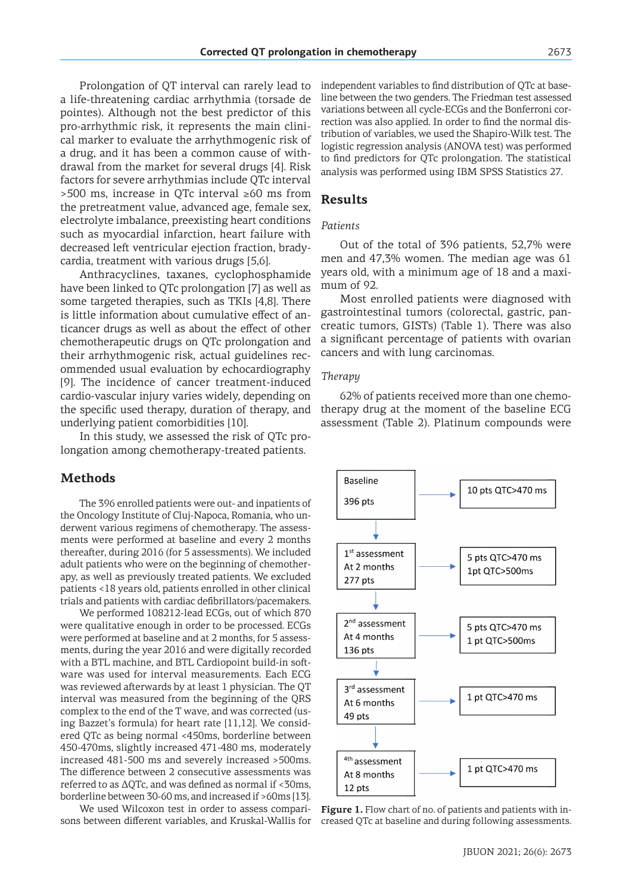Prolongation of QT interval can rarely lead to a life-threatening cardiac arrhythmia (torsade de pointes). Although not the best predictor of this pro-arrhythmic risk, it represents the main clinical marker to evaluate the arrhythmogenic risk of a drug, and it has been a common cause of withdrawal from the market for several drugs [4]. Risk factors for severe arrhythmias include QTc interval >500 ms, increase in QTc interval ≥60 ms from the pretreatment value, advanced age, female sex, electrolyte imbalance, preexisting heart conditions such as myocardial infarction, heart failure with decreased left ventricular ejection fraction, bradycardia, treatment with various drugs [5,6].

Anthracyclines, taxanes, cyclophosphamide have been linked to QTc prolongation [7] as well as some targeted therapies, such as TKIs [4,8]. There is little information about cumulative effect of anticancer drugs as well as about the effect of other chemotherapeutic drugs on QTc prolongation and their arrhythmogenic risk, actual guidelines recommended usual evaluation by echocardiography [9]. The incidence of cancer treatment-induced cardio-vascular injury varies widely, depending on the specific used therapy, duration of therapy, and underlying patient comorbidities [10].

In this study, we assessed the risk of QTc prolongation among chemotherapy-treated patients.

#### **Methods**

The 396 enrolled patients were out- and inpatients of the Oncology Institute of Cluj-Napoca, Romania, who underwent various regimens of chemotherapy. The assessments were performed at baseline and every 2 months thereafter, during 2016 (for 5 assessments). We included adult patients who were on the beginning of chemotherapy, as well as previously treated patients. We excluded patients <18 years old, patients enrolled in other clinical trials and patients with cardiac defibrillators/pacemakers.

We performed 108212-lead ECGs, out of which 870 were qualitative enough in order to be processed. ECGs were performed at baseline and at 2 months, for 5 assessments, during the year 2016 and were digitally recorded with a BTL machine, and BTL Cardiopoint build-in software was used for interval measurements. Each ECG was reviewed afterwards by at least 1 physician. The QT interval was measured from the beginning of the QRS complex to the end of the T wave, and was corrected (using Bazzet's formula) for heart rate [11,12]. We considered QTc as being normal <450ms, borderline between 450-470ms, slightly increased 471-480 ms, moderately increased 481-500 ms and severely increased >500ms. The difference between 2 consecutive assessments was referred to as  $\Delta$ QTc, and was defined as normal if <30ms, borderline between 30-60 ms, and increased if >60ms [13].

We used Wilcoxon test in order to assess comparisons between different variables, and Kruskal-Wallis for independent variables to find distribution of QTc at baseline between the two genders. The Friedman test assessed variations between all cycle-ECGs and the Bonferroni correction was also applied. In order to find the normal distribution of variables, we used the Shapiro-Wilk test. The logistic regression analysis (ANOVA test) was performed to find predictors for QTc prolongation. The statistical analysis was performed using IBM SPSS Statistics 27.

#### **Results**

#### *Patients*

Out of the total of 396 patients, 52,7% were men and 47,3% women. The median age was 61 years old, with a minimum age of 18 and a maximum of 92.

Most enrolled patients were diagnosed with gastrointestinal tumors (colorectal, gastric, pancreatic tumors, GISTs) (Table 1). There was also a significant percentage of patients with ovarian cancers and with lung carcinomas.

#### *Therapy*

62% of patients received more than one chemotherapy drug at the moment of the baseline ECG assessment (Table 2). Platinum compounds were



**Figure 1.** Flow chart of no. of patients and patients with increased QTc at baseline and during following assessments.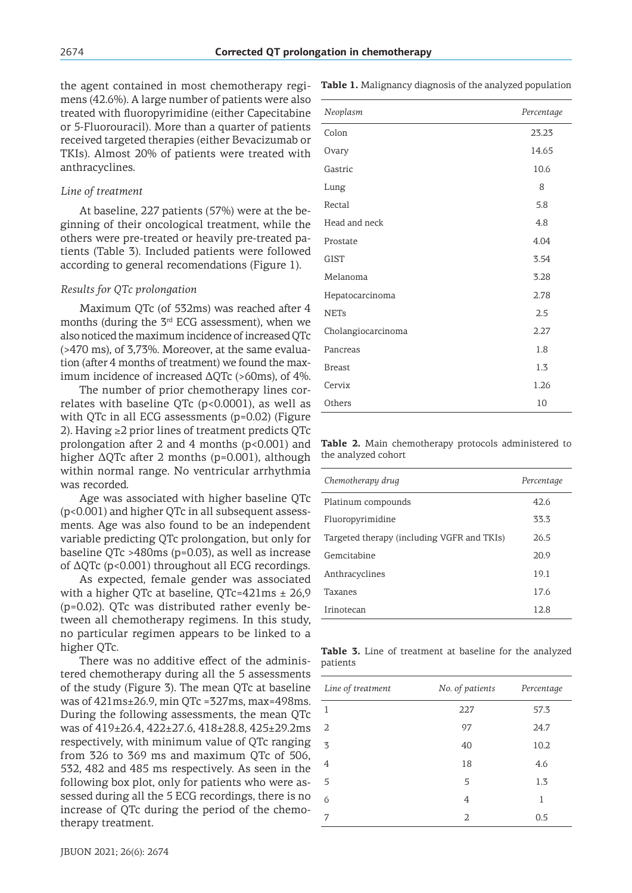the agent contained in most chemotherapy regimens (42.6%). A large number of patients were also treated with fluoropyrimidine (either Capecitabine or 5-Fluorouracil). More than a quarter of patients received targeted therapies (either Bevacizumab or TKIs). Almost 20% of patients were treated with anthracyclines.

### *Line of treatment*

At baseline, 227 patients (57%) were at the beginning of their oncological treatment, while the others were pre-treated or heavily pre-treated patients (Table 3). Included patients were followed according to general recomendations (Figure 1).

#### *Results for QTc prolongation*

Maximum QTc (of 532ms) was reached after 4 months (during the 3rd ECG assessment), when we also noticed the maximum incidence of increased QTc (>470 ms), of 3,73%. Moreover, at the same evaluation (after 4 months of treatment) we found the maximum incidence of increased  $\Delta$ QTc (>60ms), of 4%.

The number of prior chemotherapy lines correlates with baseline QTc  $(p<0.0001)$ , as well as with QTc in all ECG assessments (p=0.02) (Figure 2). Having ≥2 prior lines of treatment predicts QTc prolongation after 2 and 4 months (p<0.001) and higher ΔQTc after 2 months (p=0.001), although within normal range. No ventricular arrhythmia was recorded.

Age was associated with higher baseline QTc (p<0.001) and higher QTc in all subsequent assessments. Age was also found to be an independent variable predicting QTc prolongation, but only for baseline QTc >480ms (p=0.03), as well as increase of ΔQTc (p<0.001) throughout all ECG recordings.

As expected, female gender was associated with a higher QTc at baseline,  $QTc=421ms \pm 26.9$ (p=0.02). QTc was distributed rather evenly between all chemotherapy regimens. In this study, no particular regimen appears to be linked to a higher QTc.

There was no additive effect of the administered chemotherapy during all the 5 assessments of the study (Figure 3). The mean QTc at baseline was of 421ms±26.9, min QTc =327ms, max=498ms. During the following assessments, the mean QTc was of 419±26.4, 422±27.6, 418±28.8, 425±29.2ms respectively, with minimum value of QTc ranging from 326 to 369 ms and maximum QTc of 506, 532, 482 and 485 ms respectively. As seen in the following box plot, only for patients who were assessed during all the 5 ECG recordings, there is no increase of QTc during the period of the chemotherapy treatment.

| Neoplasm           | Percentage |
|--------------------|------------|
| Colon              | 23.23      |
| Ovary              | 14.65      |
| Gastric            | 10.6       |
| Lung               | 8          |
| Rectal             | 5.8        |
| Head and neck      | 4.8        |
| Prostate           | 4.04       |
| <b>GIST</b>        | 3.54       |
| Melanoma           | 3.28       |
| Hepatocarcinoma    | 2.78       |
| <b>NETs</b>        | 2.5        |
| Cholangiocarcinoma | 2.27       |
| Pancreas           | 1.8        |
| <b>Breast</b>      | 1.3        |
| Cervix             | 1.26       |
| Others             | 10         |

**Table 1.** Malignancy diagnosis of the analyzed population

**Table 2.** Main chemotherapy protocols administered to the analyzed cohort

| Chemotherapy drug                          | Percentage |
|--------------------------------------------|------------|
| Platinum compounds                         | 42.6       |
| Fluoropyrimidine                           | 33.3       |
| Targeted therapy (including VGFR and TKIs) | 26.5       |
| Gemcitabine                                | 20.9       |
| Anthracyclines                             | 19.1       |
| Taxanes                                    | 17.6       |
| Irinotecan                                 | 12.8       |

**Table 3.** Line of treatment at baseline for the analyzed patients

| Line of treatment | No. of patients | Percentage |
|-------------------|-----------------|------------|
| 1                 | 227             | 57.3       |
| $\overline{2}$    | 97              | 24.7       |
| 3                 | 40              | 10.2       |
| $\overline{4}$    | 18              | 4.6        |
| 5                 | 5               | 1.3        |
| 6                 | 4               | 1          |
| 7                 | 2               | 0.5        |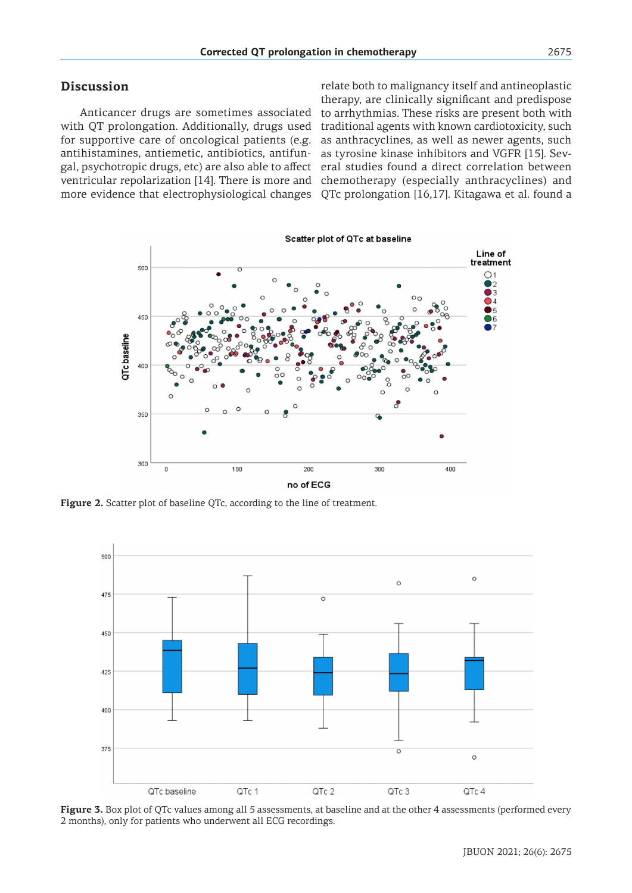# **Discussion**

Anticancer drugs are sometimes associated with QT prolongation. Additionally, drugs used for supportive care of oncological patients (e.g. antihistamines, antiemetic, antibiotics, antifungal, psychotropic drugs, etc) are also able to affect ventricular repolarization [14]. There is more and

more evidence that electrophysiological changes QTc prolongation [16,17]. Kitagawa et al. found a relate both to malignancy itself and antineoplastic therapy, are clinically significant and predispose to arrhythmias. These risks are present both with traditional agents with known cardiotoxicity, such as anthracyclines, as well as newer agents, such as tyrosine kinase inhibitors and VGFR [15]. Several studies found a direct correlation between chemotherapy (especially anthracyclines) and



Figure 2. Scatter plot of baseline QTc, according to the line of treatment.



**Figure 3.** Box plot of QTc values among all 5 assessments, at baseline and at the other 4 assessments (performed every 2 months), only for patients who underwent all ECG recordings.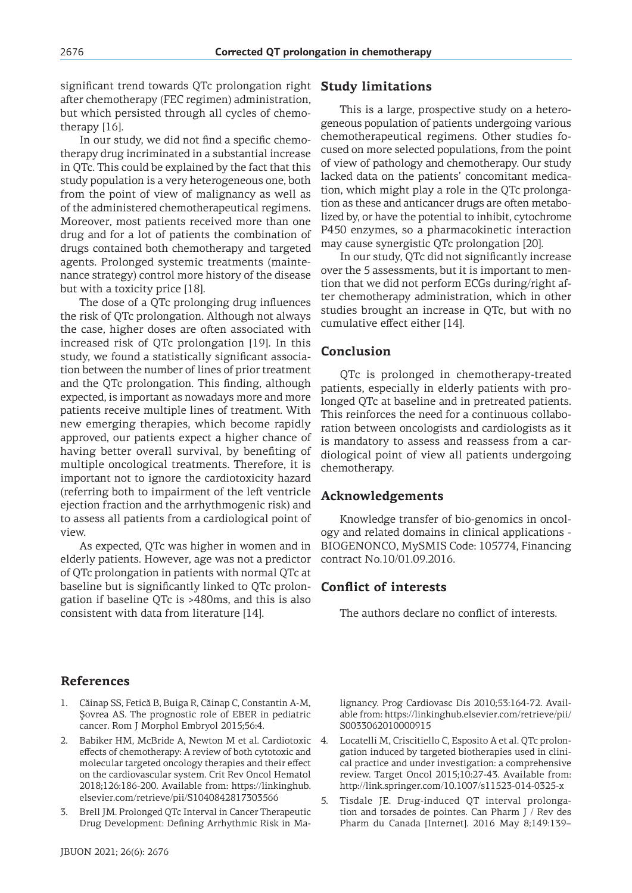significant trend towards QTc prolongation right **Study limitations** after chemotherapy (FEC regimen) administration, but which persisted through all cycles of chemotherapy [16].

In our study, we did not find a specific chemotherapy drug incriminated in a substantial increase in QTc. This could be explained by the fact that this study population is a very heterogeneous one, both from the point of view of malignancy as well as of the administered chemotherapeutical regimens. Moreover, most patients received more than one drug and for a lot of patients the combination of drugs contained both chemotherapy and targeted agents. Prolonged systemic treatments (maintenance strategy) control more history of the disease but with a toxicity price [18].

The dose of a QTc prolonging drug influences the risk of QTc prolongation. Although not always the case, higher doses are often associated with increased risk of QTc prolongation [19]. In this study, we found a statistically significant association between the number of lines of prior treatment and the QTc prolongation. This finding, although expected, is important as nowadays more and more patients receive multiple lines of treatment. With new emerging therapies, which become rapidly approved, our patients expect a higher chance of having better overall survival, by benefiting of multiple oncological treatments. Therefore, it is important not to ignore the cardiotoxicity hazard (referring both to impairment of the left ventricle ejection fraction and the arrhythmogenic risk) and to assess all patients from a cardiological point of view.

As expected, QTc was higher in women and in elderly patients. However, age was not a predictor of QTc prolongation in patients with normal QTc at baseline but is significantly linked to QTc prolongation if baseline QTc is >480ms, and this is also consistent with data from literature [14].

This is a large, prospective study on a heterogeneous population of patients undergoing various chemotherapeutical regimens. Other studies focused on more selected populations, from the point of view of pathology and chemotherapy. Our study lacked data on the patients' concomitant medication, which might play a role in the QTc prolongation as these and anticancer drugs are often metabolized by, or have the potential to inhibit, cytochrome P450 enzymes, so a pharmacokinetic interaction may cause synergistic QTc prolongation [20].

In our study, QTc did not significantly increase over the 5 assessments, but it is important to mention that we did not perform ECGs during/right after chemotherapy administration, which in other studies brought an increase in QTc, but with no cumulative effect either [14].

# **Conclusion**

QTc is prolonged in chemotherapy-treated patients, especially in elderly patients with prolonged QTc at baseline and in pretreated patients. This reinforces the need for a continuous collaboration between oncologists and cardiologists as it is mandatory to assess and reassess from a cardiological point of view all patients undergoing chemotherapy.

# **Acknowledgements**

Knowledge transfer of bio-genomics in oncology and related domains in clinical applications - BIOGENONCO, MySMIS Code: 105774, Financing contract No.10/01.09.2016.

# **Conflict of interests**

The authors declare no conflict of interests.

# **References**

- 1. Căinap SS, Fetică B, Buiga R, Căinap C, Constantin A-M, Şovrea AS. The prognostic role of EBER in pediatric cancer. Rom J Morphol Embryol 2015;56:4.
- 2. Babiker HM, McBride A, Newton M et al. Cardiotoxic effects of chemotherapy: A review of both cytotoxic and molecular targeted oncology therapies and their effect on the cardiovascular system. Crit Rev Oncol Hematol 2018;126:186-200. Available from: https://linkinghub. elsevier.com/retrieve/pii/S1040842817303566
- 3. Brell JM. Prolonged QTc Interval in Cancer Therapeutic Drug Development: Defining Arrhythmic Risk in Ma-

lignancy. Prog Cardiovasc Dis 2010;53:164-72. Available from: https://linkinghub.elsevier.com/retrieve/pii/ S0033062010000915

- 4. Locatelli M, Criscitiello C, Esposito A et al. QTc prolongation induced by targeted biotherapies used in clinical practice and under investigation: a comprehensive review. Target Oncol 2015;10:27-43. Available from: http://link.springer.com/10.1007/s11523-014-0325-x
- 5. Tisdale JE. Drug-induced QT interval prolongation and torsades de pointes. Can Pharm J / Rev des Pharm du Canada [Internet]. 2016 May 8;149:139–